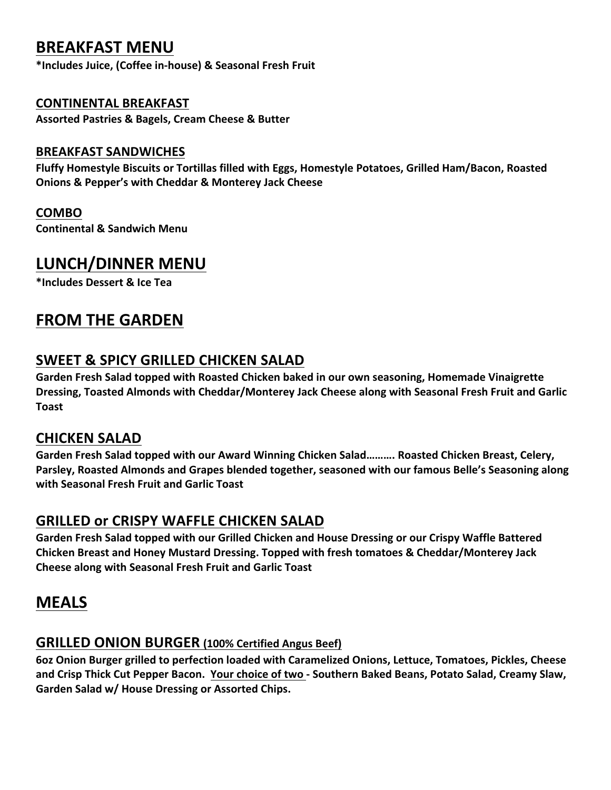# **BREAKFAST MENU**

**\*Includes Juice, (Coffee in-house) & Seasonal Fresh Fruit**

#### **CONTINENTAL BREAKFAST**

**Assorted Pastries & Bagels, Cream Cheese & Butter**

#### **BREAKFAST SANDWICHES**

**Fluffy Homestyle Biscuits or Tortillas filled with Eggs, Homestyle Potatoes, Grilled Ham/Bacon, Roasted Onions & Pepper's with Cheddar & Monterey Jack Cheese**

#### **COMBO**

**Continental & Sandwich Menu**

## **LUNCH/DINNER MENU**

**\*Includes Dessert & Ice Tea**

# **FROM THE GARDEN**

### **SWEET & SPICY GRILLED CHICKEN SALAD**

Garden Fresh Salad topped with Roasted Chicken baked in our own seasoning, Homemade Vinaigrette **Dressing, Toasted Almonds with Cheddar/Monterey Jack Cheese along with Seasonal Fresh Fruit and Garlic Toast**

### **CHICKEN SALAD**

Garden Fresh Salad topped with our Award Winning Chicken Salad………. Roasted Chicken Breast, Celery, Parsley, Roasted Almonds and Grapes blended together, seasoned with our famous Belle's Seasoning along with Seasonal Fresh Fruit and Garlic Toast

### **GRILLED OF CRISPY WAFFLE CHICKEN SALAD**

Garden Fresh Salad topped with our Grilled Chicken and House Dressing or our Crispy Waffle Battered **Chicken Breast and Honey Mustard Dressing. Topped with fresh tomatoes & Cheddar/Monterey Jack Cheese along with Seasonal Fresh Fruit and Garlic Toast**

# **MEALS**

### **GRILLED ONION BURGER (100% Certified Angus Beef)**

6oz Onion Burger grilled to perfection loaded with Caramelized Onions, Lettuce, Tomatoes, Pickles, Cheese and Crisp Thick Cut Pepper Bacon. Your choice of two - Southern Baked Beans, Potato Salad, Creamy Slaw, Garden Salad w/ House Dressing or Assorted Chips.